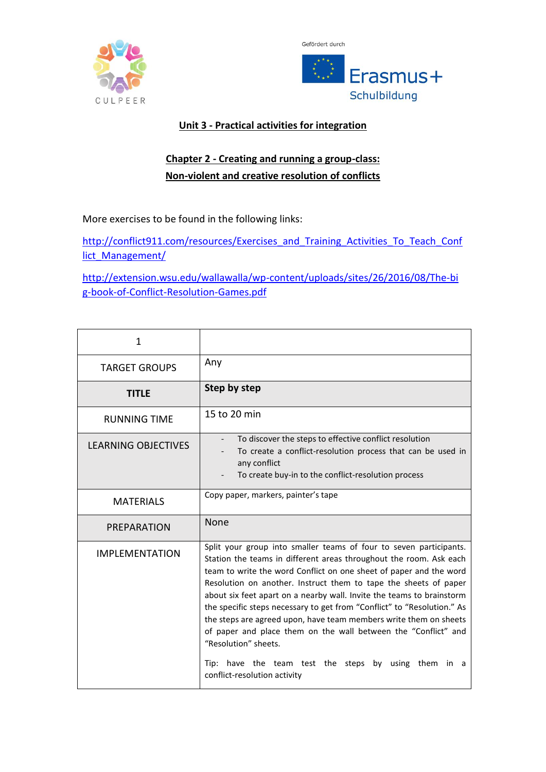



## **Unit 3 - Practical activities for integration**

## **Chapter 2 - Creating and running a group-class: Non-violent and creative resolution of conflicts**

More exercises to be found in the following links:

[http://conflict911.com/resources/Exercises\\_and\\_Training\\_Activities\\_To\\_Teach\\_Conf](http://conflict911.com/resources/Exercises_and_Training_Activities_To_Teach_Conflict_Management/) [lict\\_Management/](http://conflict911.com/resources/Exercises_and_Training_Activities_To_Teach_Conflict_Management/)

[http://extension.wsu.edu/wallawalla/wp-content/uploads/sites/26/2016/08/The-bi](http://extension.wsu.edu/wallawalla/wp-content/uploads/sites/26/2016/08/The-big-book-of-Conflict-Resolution-Games.pdf) [g-book-of-Conflict-Resolution-Games.pdf](http://extension.wsu.edu/wallawalla/wp-content/uploads/sites/26/2016/08/The-big-book-of-Conflict-Resolution-Games.pdf)

| 1                          |                                                                                                                                                                                                                                                                                                                                                                                                                                                                                                                                                                                                                                                                                                       |
|----------------------------|-------------------------------------------------------------------------------------------------------------------------------------------------------------------------------------------------------------------------------------------------------------------------------------------------------------------------------------------------------------------------------------------------------------------------------------------------------------------------------------------------------------------------------------------------------------------------------------------------------------------------------------------------------------------------------------------------------|
| <b>TARGET GROUPS</b>       | Any                                                                                                                                                                                                                                                                                                                                                                                                                                                                                                                                                                                                                                                                                                   |
| <b>TITLE</b>               | Step by step                                                                                                                                                                                                                                                                                                                                                                                                                                                                                                                                                                                                                                                                                          |
| <b>RUNNING TIME</b>        | 15 to 20 min                                                                                                                                                                                                                                                                                                                                                                                                                                                                                                                                                                                                                                                                                          |
| <b>LEARNING OBJECTIVES</b> | To discover the steps to effective conflict resolution<br>To create a conflict-resolution process that can be used in<br>any conflict<br>To create buy-in to the conflict-resolution process                                                                                                                                                                                                                                                                                                                                                                                                                                                                                                          |
| <b>MATERIALS</b>           | Copy paper, markers, painter's tape                                                                                                                                                                                                                                                                                                                                                                                                                                                                                                                                                                                                                                                                   |
| PREPARATION                | <b>None</b>                                                                                                                                                                                                                                                                                                                                                                                                                                                                                                                                                                                                                                                                                           |
| <b>IMPLEMENTATION</b>      | Split your group into smaller teams of four to seven participants.<br>Station the teams in different areas throughout the room. Ask each<br>team to write the word Conflict on one sheet of paper and the word<br>Resolution on another. Instruct them to tape the sheets of paper<br>about six feet apart on a nearby wall. Invite the teams to brainstorm<br>the specific steps necessary to get from "Conflict" to "Resolution." As<br>the steps are agreed upon, have team members write them on sheets<br>of paper and place them on the wall between the "Conflict" and<br>"Resolution" sheets.<br>Tip: have the team test the steps by using them<br>in<br>- a<br>conflict-resolution activity |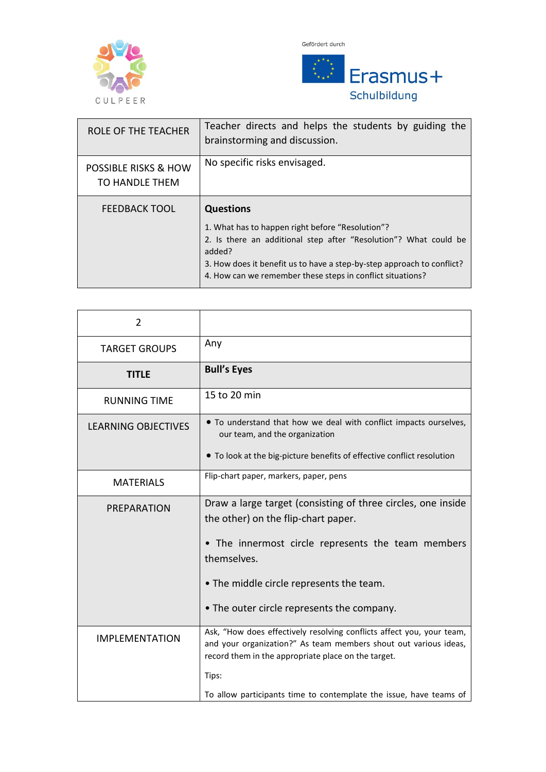



| <b>ROLE OF THE TEACHER</b>                        | Teacher directs and helps the students by guiding the<br>brainstorming and discussion.                                                                                                                                                                                                     |
|---------------------------------------------------|--------------------------------------------------------------------------------------------------------------------------------------------------------------------------------------------------------------------------------------------------------------------------------------------|
| <b>POSSIBLE RISKS &amp; HOW</b><br>TO HANDLE THEM | No specific risks envisaged.                                                                                                                                                                                                                                                               |
| <b>FEEDBACK TOOL</b>                              | <b>Questions</b><br>1. What has to happen right before "Resolution"?<br>2. Is there an additional step after "Resolution"? What could be<br>added?<br>3. How does it benefit us to have a step-by-step approach to conflict?<br>4. How can we remember these steps in conflict situations? |

| 2                          |                                                                                                                                                                                                  |
|----------------------------|--------------------------------------------------------------------------------------------------------------------------------------------------------------------------------------------------|
| <b>TARGET GROUPS</b>       | Any                                                                                                                                                                                              |
| <b>TITLE</b>               | <b>Bull's Eyes</b>                                                                                                                                                                               |
| <b>RUNNING TIME</b>        | 15 to 20 min                                                                                                                                                                                     |
| <b>LEARNING OBJECTIVES</b> | • To understand that how we deal with conflict impacts ourselves,<br>our team, and the organization                                                                                              |
|                            | • To look at the big-picture benefits of effective conflict resolution                                                                                                                           |
| <b>MATERIALS</b>           | Flip-chart paper, markers, paper, pens                                                                                                                                                           |
| PREPARATION                | Draw a large target (consisting of three circles, one inside<br>the other) on the flip-chart paper.                                                                                              |
|                            | • The innermost circle represents the team members<br>themselves.                                                                                                                                |
|                            | • The middle circle represents the team.                                                                                                                                                         |
|                            | • The outer circle represents the company.                                                                                                                                                       |
| <b>IMPLEMENTATION</b>      | Ask, "How does effectively resolving conflicts affect you, your team,<br>and your organization?" As team members shout out various ideas,<br>record them in the appropriate place on the target. |
|                            | Tips:                                                                                                                                                                                            |
|                            | To allow participants time to contemplate the issue, have teams of                                                                                                                               |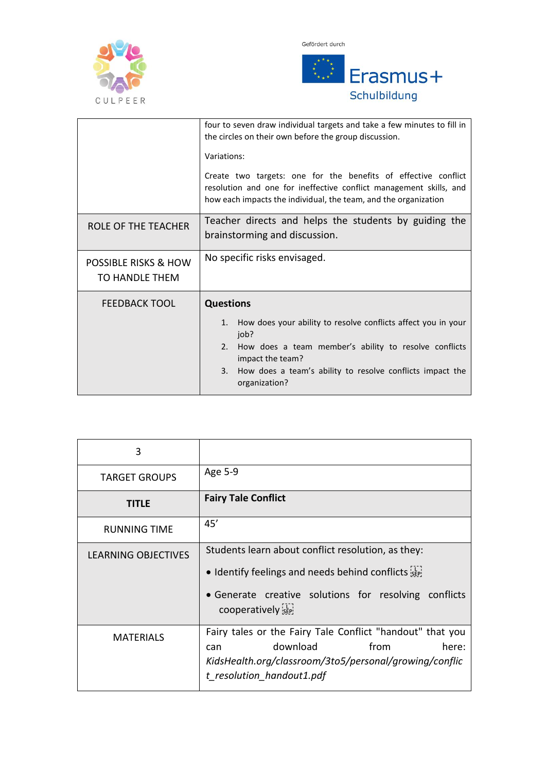



|                                                   | four to seven draw individual targets and take a few minutes to fill in<br>the circles on their own before the group discussion.<br>Variations:<br>Create two targets: one for the benefits of effective conflict<br>resolution and one for ineffective conflict management skills, and<br>how each impacts the individual, the team, and the organization |
|---------------------------------------------------|------------------------------------------------------------------------------------------------------------------------------------------------------------------------------------------------------------------------------------------------------------------------------------------------------------------------------------------------------------|
| ROLE OF THE TEACHER                               | Teacher directs and helps the students by guiding the<br>brainstorming and discussion.                                                                                                                                                                                                                                                                     |
| <b>POSSIBLE RISKS &amp; HOW</b><br>TO HANDLE THEM | No specific risks envisaged.                                                                                                                                                                                                                                                                                                                               |
| <b>FEEDBACK TOOL</b>                              | <b>Questions</b><br>How does your ability to resolve conflicts affect you in your<br>1.<br>job?<br>How does a team member's ability to resolve conflicts<br>2.<br>impact the team?<br>How does a team's ability to resolve conflicts impact the<br>3.<br>organization?                                                                                     |

| 3                    |                                                                                                                                                                                      |
|----------------------|--------------------------------------------------------------------------------------------------------------------------------------------------------------------------------------|
| <b>TARGET GROUPS</b> | Age 5-9                                                                                                                                                                              |
| TITLE                | <b>Fairy Tale Conflict</b>                                                                                                                                                           |
| <b>RUNNING TIME</b>  | 45'                                                                                                                                                                                  |
| LEARNING OBJECTIVES  | Students learn about conflict resolution, as they:                                                                                                                                   |
|                      | • Identify feelings and needs behind conflicts see                                                                                                                                   |
|                      | • Generate creative solutions for resolving conflicts<br>cooperatively sep-                                                                                                          |
| <b>MATERIALS</b>     | Fairy tales or the Fairy Tale Conflict "handout" that you<br>download<br>from<br>here:<br>can<br>KidsHealth.org/classroom/3to5/personal/growing/conflic<br>t resolution handout1.pdf |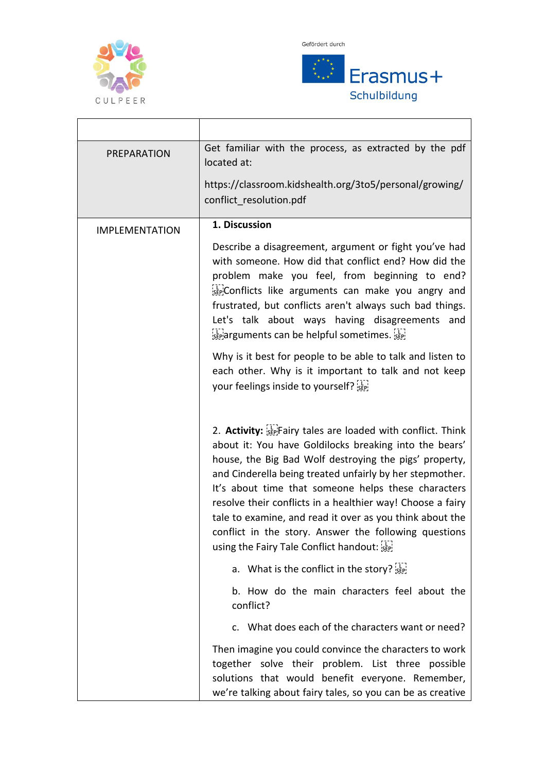

 $\mathbf{r}$ 

Gefördert durch



۰

| PREPARATION           | Get familiar with the process, as extracted by the pdf<br>located at:                                                                                                                                                                                                                                                                                                                                                                                                                                                             |
|-----------------------|-----------------------------------------------------------------------------------------------------------------------------------------------------------------------------------------------------------------------------------------------------------------------------------------------------------------------------------------------------------------------------------------------------------------------------------------------------------------------------------------------------------------------------------|
|                       | https://classroom.kidshealth.org/3to5/personal/growing/<br>conflict resolution.pdf                                                                                                                                                                                                                                                                                                                                                                                                                                                |
| <b>IMPLEMENTATION</b> | 1. Discussion                                                                                                                                                                                                                                                                                                                                                                                                                                                                                                                     |
|                       | Describe a disagreement, argument or fight you've had<br>with someone. How did that conflict end? How did the<br>problem make you feel, from beginning to end?<br>sepiconflicts like arguments can make you angry and<br>frustrated, but conflicts aren't always such bad things.<br>Let's talk about ways having disagreements and<br>separguments can be helpful sometimes.                                                                                                                                                     |
|                       | Why is it best for people to be able to talk and listen to<br>each other. Why is it important to talk and not keep<br>your feelings inside to yourself? see                                                                                                                                                                                                                                                                                                                                                                       |
|                       | 2. Activity: Sepifrairy tales are loaded with conflict. Think<br>about it: You have Goldilocks breaking into the bears'<br>house, the Big Bad Wolf destroying the pigs' property,<br>and Cinderella being treated unfairly by her stepmother.<br>It's about time that someone helps these characters<br>resolve their conflicts in a healthier way! Choose a fairy<br>tale to examine, and read it over as you think about the<br>conflict in the story. Answer the following questions<br>using the Fairy Tale Conflict handout: |
|                       | a. What is the conflict in the story? $\frac{1}{2}$                                                                                                                                                                                                                                                                                                                                                                                                                                                                               |
|                       | b. How do the main characters feel about the<br>conflict?                                                                                                                                                                                                                                                                                                                                                                                                                                                                         |
|                       | c. What does each of the characters want or need?                                                                                                                                                                                                                                                                                                                                                                                                                                                                                 |
|                       | Then imagine you could convince the characters to work<br>together solve their problem. List three possible<br>solutions that would benefit everyone. Remember,<br>we're talking about fairy tales, so you can be as creative                                                                                                                                                                                                                                                                                                     |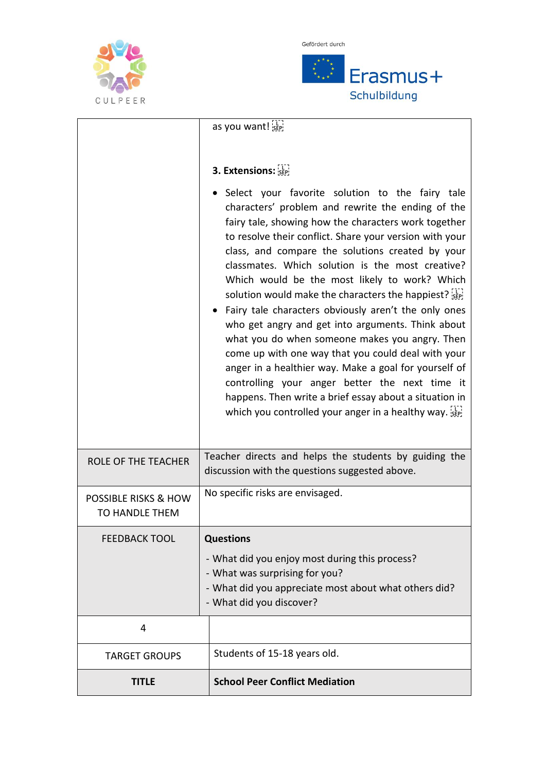



|                                                          | as you want!                                                                                                                                                                                                                                                                                                                                                                                                                                                                                                                                                                                                                                                                                                                                                                                                                                                                          |
|----------------------------------------------------------|---------------------------------------------------------------------------------------------------------------------------------------------------------------------------------------------------------------------------------------------------------------------------------------------------------------------------------------------------------------------------------------------------------------------------------------------------------------------------------------------------------------------------------------------------------------------------------------------------------------------------------------------------------------------------------------------------------------------------------------------------------------------------------------------------------------------------------------------------------------------------------------|
|                                                          | 3. Extensions: SEP                                                                                                                                                                                                                                                                                                                                                                                                                                                                                                                                                                                                                                                                                                                                                                                                                                                                    |
|                                                          | Select your favorite solution to the fairy tale<br>characters' problem and rewrite the ending of the<br>fairy tale, showing how the characters work together<br>to resolve their conflict. Share your version with your<br>class, and compare the solutions created by your<br>classmates. Which solution is the most creative?<br>Which would be the most likely to work? Which<br>solution would make the characters the happiest?<br>• Fairy tale characters obviously aren't the only ones<br>who get angry and get into arguments. Think about<br>what you do when someone makes you angry. Then<br>come up with one way that you could deal with your<br>anger in a healthier way. Make a goal for yourself of<br>controlling your anger better the next time it<br>happens. Then write a brief essay about a situation in<br>which you controlled your anger in a healthy way. |
| <b>ROLE OF THE TEACHER</b>                               | Teacher directs and helps the students by guiding the<br>discussion with the questions suggested above.                                                                                                                                                                                                                                                                                                                                                                                                                                                                                                                                                                                                                                                                                                                                                                               |
| <b>POSSIBLE RISKS &amp; HOW</b><br><b>TO HANDLE THEM</b> | No specific risks are envisaged.                                                                                                                                                                                                                                                                                                                                                                                                                                                                                                                                                                                                                                                                                                                                                                                                                                                      |
| <b>FEEDBACK TOOL</b>                                     | <b>Questions</b><br>- What did you enjoy most during this process?<br>- What was surprising for you?<br>- What did you appreciate most about what others did?<br>- What did you discover?                                                                                                                                                                                                                                                                                                                                                                                                                                                                                                                                                                                                                                                                                             |
| 4                                                        |                                                                                                                                                                                                                                                                                                                                                                                                                                                                                                                                                                                                                                                                                                                                                                                                                                                                                       |
| <b>TARGET GROUPS</b>                                     | Students of 15-18 years old.                                                                                                                                                                                                                                                                                                                                                                                                                                                                                                                                                                                                                                                                                                                                                                                                                                                          |
| <b>TITLE</b>                                             | <b>School Peer Conflict Mediation</b>                                                                                                                                                                                                                                                                                                                                                                                                                                                                                                                                                                                                                                                                                                                                                                                                                                                 |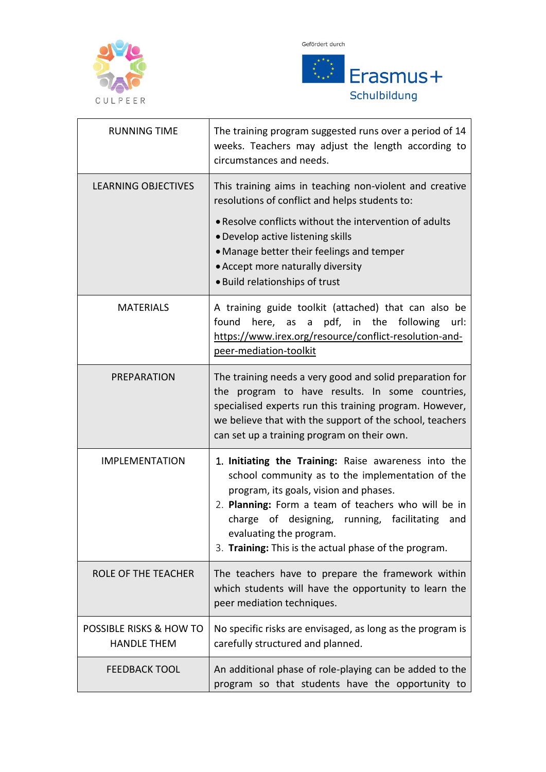



| <b>RUNNING TIME</b>                           | The training program suggested runs over a period of 14<br>weeks. Teachers may adjust the length according to<br>circumstances and needs.                                                                                                                                                                                                          |
|-----------------------------------------------|----------------------------------------------------------------------------------------------------------------------------------------------------------------------------------------------------------------------------------------------------------------------------------------------------------------------------------------------------|
| <b>LEARNING OBJECTIVES</b>                    | This training aims in teaching non-violent and creative<br>resolutions of conflict and helps students to:<br>• Resolve conflicts without the intervention of adults<br>• Develop active listening skills<br>• Manage better their feelings and temper<br>• Accept more naturally diversity<br>. Build relationships of trust                       |
| <b>MATERIALS</b>                              | A training guide toolkit (attached) that can also be<br>found<br>here, as a pdf, in the following<br>url:<br>https://www.irex.org/resource/conflict-resolution-and-<br>peer-mediation-toolkit                                                                                                                                                      |
| <b>PREPARATION</b>                            | The training needs a very good and solid preparation for<br>the program to have results. In some countries,<br>specialised experts run this training program. However,<br>we believe that with the support of the school, teachers<br>can set up a training program on their own.                                                                  |
| <b>IMPLEMENTATION</b>                         | 1. Initiating the Training: Raise awareness into the<br>school community as to the implementation of the<br>program, its goals, vision and phases.<br>2. Planning: Form a team of teachers who will be in<br>charge of designing, running, facilitating<br>and<br>evaluating the program.<br>3. Training: This is the actual phase of the program. |
| <b>ROLE OF THE TEACHER</b>                    | The teachers have to prepare the framework within<br>which students will have the opportunity to learn the<br>peer mediation techniques.                                                                                                                                                                                                           |
| POSSIBLE RISKS & HOW TO<br><b>HANDLE THEM</b> | No specific risks are envisaged, as long as the program is<br>carefully structured and planned.                                                                                                                                                                                                                                                    |
| <b>FEEDBACK TOOL</b>                          | An additional phase of role-playing can be added to the<br>program so that students have the opportunity to                                                                                                                                                                                                                                        |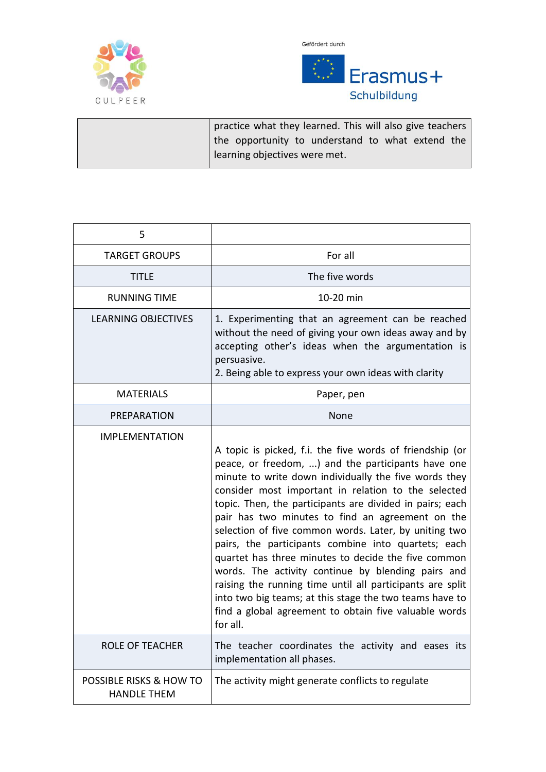





| practice what they learned. This will also give teachers |
|----------------------------------------------------------|
| the opportunity to understand to what extend the         |
| learning objectives were met.                            |

| 5                                             |                                                                                                                                                                                                                                                                                                                                                                                                                                                                                                                                                                                                                                                                                                                                                                          |
|-----------------------------------------------|--------------------------------------------------------------------------------------------------------------------------------------------------------------------------------------------------------------------------------------------------------------------------------------------------------------------------------------------------------------------------------------------------------------------------------------------------------------------------------------------------------------------------------------------------------------------------------------------------------------------------------------------------------------------------------------------------------------------------------------------------------------------------|
| <b>TARGET GROUPS</b>                          | For all                                                                                                                                                                                                                                                                                                                                                                                                                                                                                                                                                                                                                                                                                                                                                                  |
| <b>TITLE</b>                                  | The five words                                                                                                                                                                                                                                                                                                                                                                                                                                                                                                                                                                                                                                                                                                                                                           |
| <b>RUNNING TIME</b>                           | 10-20 min                                                                                                                                                                                                                                                                                                                                                                                                                                                                                                                                                                                                                                                                                                                                                                |
| LEARNING OBJECTIVES                           | 1. Experimenting that an agreement can be reached<br>without the need of giving your own ideas away and by<br>accepting other's ideas when the argumentation is<br>persuasive.<br>2. Being able to express your own ideas with clarity                                                                                                                                                                                                                                                                                                                                                                                                                                                                                                                                   |
| <b>MATERIALS</b>                              | Paper, pen                                                                                                                                                                                                                                                                                                                                                                                                                                                                                                                                                                                                                                                                                                                                                               |
| <b>PREPARATION</b>                            | None                                                                                                                                                                                                                                                                                                                                                                                                                                                                                                                                                                                                                                                                                                                                                                     |
| <b>IMPLEMENTATION</b>                         | A topic is picked, f.i. the five words of friendship (or<br>peace, or freedom, ) and the participants have one<br>minute to write down individually the five words they<br>consider most important in relation to the selected<br>topic. Then, the participants are divided in pairs; each<br>pair has two minutes to find an agreement on the<br>selection of five common words. Later, by uniting two<br>pairs, the participants combine into quartets; each<br>quartet has three minutes to decide the five common<br>words. The activity continue by blending pairs and<br>raising the running time until all participants are split<br>into two big teams; at this stage the two teams have to<br>find a global agreement to obtain five valuable words<br>for all. |
| <b>ROLE OF TEACHER</b>                        | The teacher coordinates the activity and eases its<br>implementation all phases.                                                                                                                                                                                                                                                                                                                                                                                                                                                                                                                                                                                                                                                                                         |
| POSSIBLE RISKS & HOW TO<br><b>HANDLE THEM</b> | The activity might generate conflicts to regulate                                                                                                                                                                                                                                                                                                                                                                                                                                                                                                                                                                                                                                                                                                                        |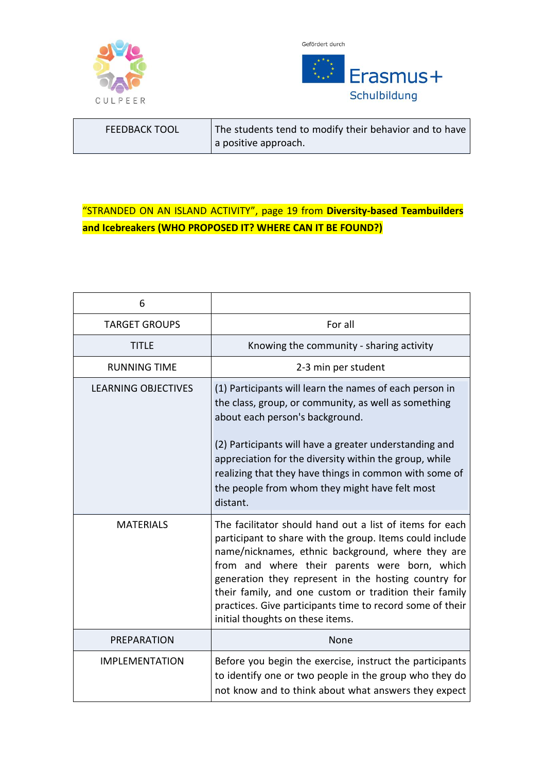



| <b>FEEDBACK TOOL</b> | The students tend to modify their behavior and to have |
|----------------------|--------------------------------------------------------|
|                      | a positive approach.                                   |

## "STRANDED ON AN ISLAND ACTIVITY", page 19 from **Diversity-based Teambuilders and Icebreakers (WHO PROPOSED IT? WHERE CAN IT BE FOUND?)**

| 6                          |                                                                                                                                                                                                                                                                                                                                                                                                                                               |
|----------------------------|-----------------------------------------------------------------------------------------------------------------------------------------------------------------------------------------------------------------------------------------------------------------------------------------------------------------------------------------------------------------------------------------------------------------------------------------------|
| <b>TARGET GROUPS</b>       | For all                                                                                                                                                                                                                                                                                                                                                                                                                                       |
| title                      | Knowing the community - sharing activity                                                                                                                                                                                                                                                                                                                                                                                                      |
| <b>RUNNING TIME</b>        | 2-3 min per student                                                                                                                                                                                                                                                                                                                                                                                                                           |
| <b>LEARNING OBJECTIVES</b> | (1) Participants will learn the names of each person in<br>the class, group, or community, as well as something<br>about each person's background.<br>(2) Participants will have a greater understanding and<br>appreciation for the diversity within the group, while<br>realizing that they have things in common with some of<br>the people from whom they might have felt most<br>distant.                                                |
| <b>MATERIALS</b>           | The facilitator should hand out a list of items for each<br>participant to share with the group. Items could include<br>name/nicknames, ethnic background, where they are<br>from and where their parents were born, which<br>generation they represent in the hosting country for<br>their family, and one custom or tradition their family<br>practices. Give participants time to record some of their<br>initial thoughts on these items. |
| <b>PREPARATION</b>         | None                                                                                                                                                                                                                                                                                                                                                                                                                                          |
| <b>IMPLEMENTATION</b>      | Before you begin the exercise, instruct the participants<br>to identify one or two people in the group who they do<br>not know and to think about what answers they expect                                                                                                                                                                                                                                                                    |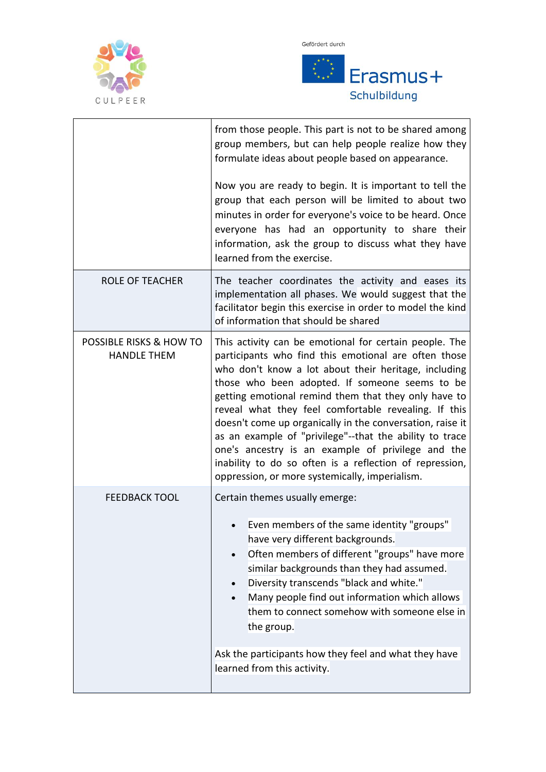



|                                                          | from those people. This part is not to be shared among<br>group members, but can help people realize how they<br>formulate ideas about people based on appearance.<br>Now you are ready to begin. It is important to tell the<br>group that each person will be limited to about two<br>minutes in order for everyone's voice to be heard. Once<br>everyone has had an opportunity to share their<br>information, ask the group to discuss what they have<br>learned from the exercise.                                                                                                                                            |
|----------------------------------------------------------|------------------------------------------------------------------------------------------------------------------------------------------------------------------------------------------------------------------------------------------------------------------------------------------------------------------------------------------------------------------------------------------------------------------------------------------------------------------------------------------------------------------------------------------------------------------------------------------------------------------------------------|
| <b>ROLE OF TEACHER</b>                                   | The teacher coordinates the activity and eases its<br>implementation all phases. We would suggest that the<br>facilitator begin this exercise in order to model the kind<br>of information that should be shared                                                                                                                                                                                                                                                                                                                                                                                                                   |
| <b>POSSIBLE RISKS &amp; HOW TO</b><br><b>HANDLE THEM</b> | This activity can be emotional for certain people. The<br>participants who find this emotional are often those<br>who don't know a lot about their heritage, including<br>those who been adopted. If someone seems to be<br>getting emotional remind them that they only have to<br>reveal what they feel comfortable revealing. If this<br>doesn't come up organically in the conversation, raise it<br>as an example of "privilege"--that the ability to trace<br>one's ancestry is an example of privilege and the<br>inability to do so often is a reflection of repression,<br>oppression, or more systemically, imperialism. |
| <b>FEEDBACK TOOL</b>                                     | Certain themes usually emerge:<br>Even members of the same identity "groups"<br>have very different backgrounds.<br>Often members of different "groups" have more<br>similar backgrounds than they had assumed.<br>Diversity transcends "black and white."<br>Many people find out information which allows<br>them to connect somehow with someone else in<br>the group.<br>Ask the participants how they feel and what they have<br>learned from this activity.                                                                                                                                                                  |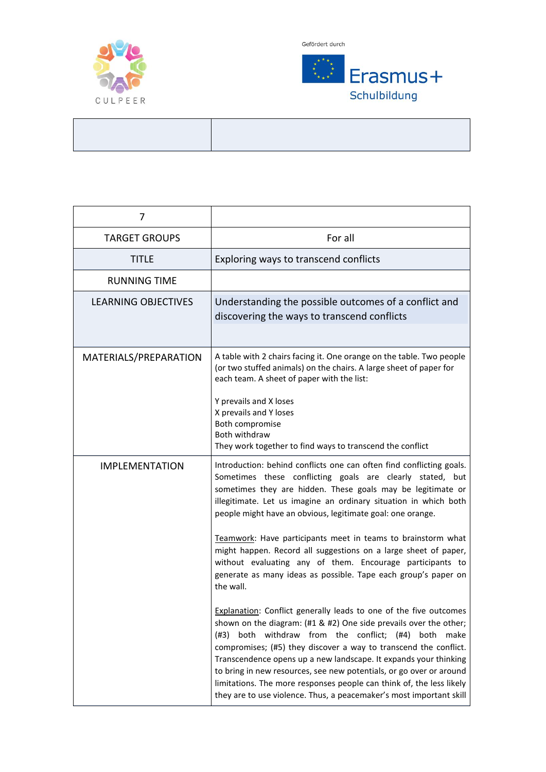

 $\mathbf{r}$ 



| 7                          |                                                                                                                                                                                                                                                                                                                                                                                                                                                                                                                                                                              |
|----------------------------|------------------------------------------------------------------------------------------------------------------------------------------------------------------------------------------------------------------------------------------------------------------------------------------------------------------------------------------------------------------------------------------------------------------------------------------------------------------------------------------------------------------------------------------------------------------------------|
| <b>TARGET GROUPS</b>       | For all                                                                                                                                                                                                                                                                                                                                                                                                                                                                                                                                                                      |
| TITLE                      | Exploring ways to transcend conflicts                                                                                                                                                                                                                                                                                                                                                                                                                                                                                                                                        |
| <b>RUNNING TIME</b>        |                                                                                                                                                                                                                                                                                                                                                                                                                                                                                                                                                                              |
| <b>LEARNING OBJECTIVES</b> | Understanding the possible outcomes of a conflict and<br>discovering the ways to transcend conflicts                                                                                                                                                                                                                                                                                                                                                                                                                                                                         |
|                            |                                                                                                                                                                                                                                                                                                                                                                                                                                                                                                                                                                              |
| MATERIALS/PREPARATION      | A table with 2 chairs facing it. One orange on the table. Two people<br>(or two stuffed animals) on the chairs. A large sheet of paper for<br>each team. A sheet of paper with the list:                                                                                                                                                                                                                                                                                                                                                                                     |
|                            | Y prevails and X loses<br>X prevails and Y loses<br>Both compromise                                                                                                                                                                                                                                                                                                                                                                                                                                                                                                          |
|                            | Both withdraw<br>They work together to find ways to transcend the conflict                                                                                                                                                                                                                                                                                                                                                                                                                                                                                                   |
| <b>IMPLEMENTATION</b>      | Introduction: behind conflicts one can often find conflicting goals.<br>Sometimes these conflicting goals are clearly stated, but<br>sometimes they are hidden. These goals may be legitimate or<br>illegitimate. Let us imagine an ordinary situation in which both<br>people might have an obvious, legitimate goal: one orange.                                                                                                                                                                                                                                           |
|                            | Teamwork: Have participants meet in teams to brainstorm what<br>might happen. Record all suggestions on a large sheet of paper,<br>without evaluating any of them. Encourage participants to<br>generate as many ideas as possible. Tape each group's paper on<br>the wall.                                                                                                                                                                                                                                                                                                  |
|                            | <b>Explanation:</b> Conflict generally leads to one of the five outcomes<br>shown on the diagram: (#1 & #2) One side prevails over the other;<br>both withdraw from the conflict; (#4)<br>both<br>(#3)<br>make<br>compromises; (#5) they discover a way to transcend the conflict.<br>Transcendence opens up a new landscape. It expands your thinking<br>to bring in new resources, see new potentials, or go over or around<br>limitations. The more responses people can think of, the less likely<br>they are to use violence. Thus, a peacemaker's most important skill |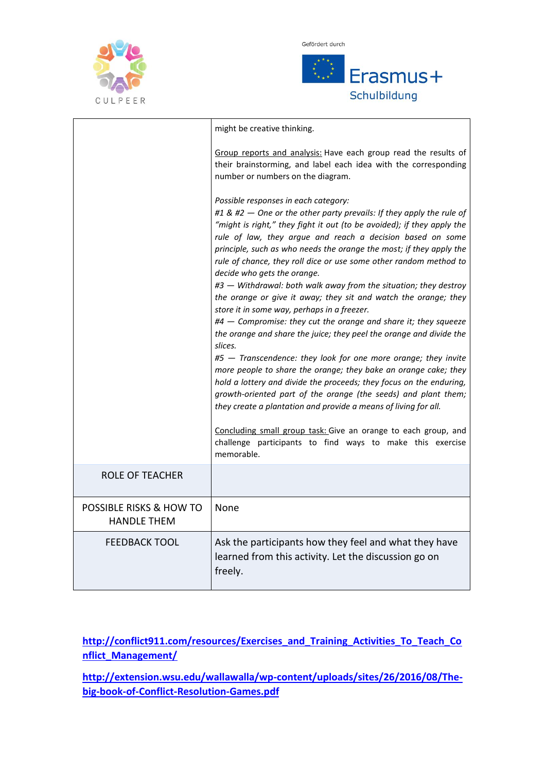



|                                               | might be creative thinking.                                                                                                                                                                                                                                                                                                                                                                                                                                                                                                                                                                                                                                                                                                                                                                                                                                                                                                                                                                                                                                                                                                                                                                                                                                              |
|-----------------------------------------------|--------------------------------------------------------------------------------------------------------------------------------------------------------------------------------------------------------------------------------------------------------------------------------------------------------------------------------------------------------------------------------------------------------------------------------------------------------------------------------------------------------------------------------------------------------------------------------------------------------------------------------------------------------------------------------------------------------------------------------------------------------------------------------------------------------------------------------------------------------------------------------------------------------------------------------------------------------------------------------------------------------------------------------------------------------------------------------------------------------------------------------------------------------------------------------------------------------------------------------------------------------------------------|
|                                               | Group reports and analysis: Have each group read the results of<br>their brainstorming, and label each idea with the corresponding<br>number or numbers on the diagram.                                                                                                                                                                                                                                                                                                                                                                                                                                                                                                                                                                                                                                                                                                                                                                                                                                                                                                                                                                                                                                                                                                  |
|                                               | Possible responses in each category:<br>#1 & #2 - One or the other party prevails: If they apply the rule of<br>"might is right," they fight it out (to be avoided); if they apply the<br>rule of law, they argue and reach a decision based on some<br>principle, such as who needs the orange the most; if they apply the<br>rule of chance, they roll dice or use some other random method to<br>decide who gets the orange.<br>#3 - Withdrawal: both walk away from the situation; they destroy<br>the orange or give it away; they sit and watch the orange; they<br>store it in some way, perhaps in a freezer.<br>#4 - Compromise: they cut the orange and share it; they squeeze<br>the orange and share the juice; they peel the orange and divide the<br>slices.<br>#5 - Transcendence: they look for one more orange; they invite<br>more people to share the orange; they bake an orange cake; they<br>hold a lottery and divide the proceeds; they focus on the enduring,<br>growth-oriented part of the orange (the seeds) and plant them;<br>they create a plantation and provide a means of living for all.<br>Concluding small group task: Give an orange to each group, and<br>challenge participants to find ways to make this exercise<br>memorable. |
| <b>ROLE OF TEACHER</b>                        |                                                                                                                                                                                                                                                                                                                                                                                                                                                                                                                                                                                                                                                                                                                                                                                                                                                                                                                                                                                                                                                                                                                                                                                                                                                                          |
| POSSIBLE RISKS & HOW TO<br><b>HANDLE THEM</b> | None                                                                                                                                                                                                                                                                                                                                                                                                                                                                                                                                                                                                                                                                                                                                                                                                                                                                                                                                                                                                                                                                                                                                                                                                                                                                     |
| <b>FEEDBACK TOOL</b>                          | Ask the participants how they feel and what they have<br>learned from this activity. Let the discussion go on<br>freely.                                                                                                                                                                                                                                                                                                                                                                                                                                                                                                                                                                                                                                                                                                                                                                                                                                                                                                                                                                                                                                                                                                                                                 |

**[http://conflict911.com/resources/Exercises\\_and\\_Training\\_Activities\\_To\\_Teach\\_Co](http://conflict911.com/resources/Exercises_and_Training_Activities_To_Teach_Conflict_Management/) [nflict\\_Management/](http://conflict911.com/resources/Exercises_and_Training_Activities_To_Teach_Conflict_Management/)**

**[http://extension.wsu.edu/wallawalla/wp-content/uploads/sites/26/2016/08/The](http://extension.wsu.edu/wallawalla/wp-content/uploads/sites/26/2016/08/The-big-book-of-Conflict-Resolution-Games.pdf)[big-book-of-Conflict-Resolution-Games.pdf](http://extension.wsu.edu/wallawalla/wp-content/uploads/sites/26/2016/08/The-big-book-of-Conflict-Resolution-Games.pdf)**